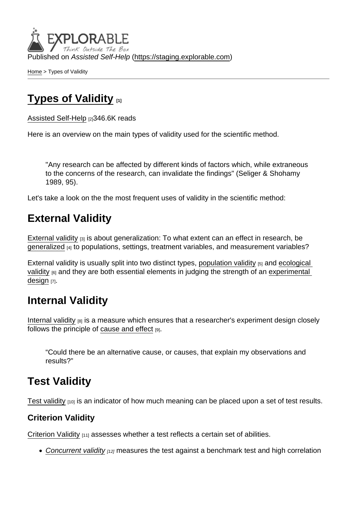Published on Assisted Self-Help [\(https://staging.explorable.com](https://staging.explorable.com))

[Home](https://staging.explorable.com/en) > Types of Validity

# [Types of Validity](https://staging.explorable.com/en/types-of-validity) [1]

[Assisted Self-Help](https://staging.explorable.com/en) [2]346.6K reads

Here is an overview on the main types of validity used for the scientific method.

"Any research can be affected by different kinds of factors which, while extraneous to the concerns of the research, can invalidate the findings" (Seliger & Shohamy 1989, 95).

Let's take a look on the the most frequent uses of validity in the scientific method:

### External Validity

[External validity](https://staging.explorable.com/external-validity)  $[3]$  is about generalization: To what extent can an effect in research, be [generalized](https://staging.explorable.com/what-is-generalization) [4] to populations, settings, treatment variables, and measurement variables?

External validity is usually split into two distinct types, [population validity](https://staging.explorable.com/population-validity) [5] and ecological [validity](https://staging.explorable.com/ecological-validity) [6] and they are both essential elements in judging the strength of an experimental [design](https://staging.explorable.com/design-of-experiment) [7].

#### Internal Validity

[Internal validity](https://staging.explorable.com/internal-validity) [8] is a measure which ensures that a researcher's experiment design closely follows the principle of [cause and effect](https://staging.explorable.com/cause-and-effect) [9].

"Could there be an alternative cause, or causes, that explain my observations and results?"

## Test Validity

[Test validity](https://staging.explorable.com/test-validity)  $[10]$  is an indicator of how much meaning can be placed upon a set of test results.

Criterion Validity

[Criterion Validity](https://staging.explorable.com/criterion-validity) [11] assesses whether a test reflects a certain set of abilities.

 $\bullet$  [Concurrent validity](https://staging.explorable.com/concurrent-validity)  $_{112}$  measures the test against a benchmark test and high correlation